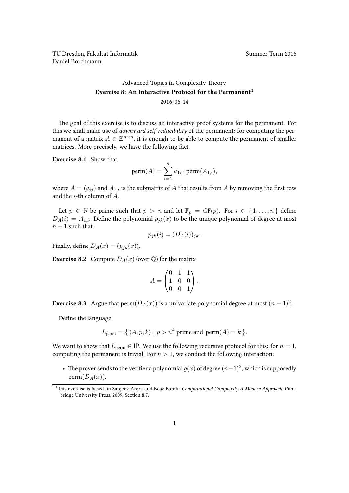TU Dresden, Fakultät Informatik Nummer Term 2016 Daniel Borchmann

## [Advanced Topics in Complexity Theory](https://ddll.inf.tu-dresden.de/web/Advanced_Topics_in_Complexity_Theory_(SS2016)) Exercise 8: An Interactive Protocol for the Permanent<sup>[1](#page-0-0)</sup> 2016-06-14

The goal of this exercise is to discuss an interactive proof systems for the permanent. For this we shall make use of *downward self-reducibility* of the permanent: for computing the permanent of a matrix  $A \in \mathbb{Z}^{n \times n}$ , it is enough to be able to compute the permanent of smaller matrices. More precisely, we have the following fact.

Exercise 8.1 Show that

$$
\text{perm}(A) = \sum_{i=1}^n a_{1i} \cdot \text{perm}(A_{1,i}),
$$

where  $A = (a_{ij})$  and  $A_{1,i}$  is the submatrix of A that results from A by removing the first row and the  $i$ -th column of  $A$ .

Let  $p \in \mathbb{N}$  be prime such that  $p > n$  and let  $\mathbb{F}_p = \text{GF}(p)$ . For  $i \in \{1, ..., n\}$  define  $D_A(i) = A_{1,i}$ . Define the polynomial  $p_{ik}(x)$  to be the unique polynomial of degree at most  $n-1$  such that

$$
p_{jk}(i) = (D_A(i))_{jk}.
$$

Finally, define  $D_A(x) = (p_{jk}(x))$ .

**Exercise 8.2** Compute  $D_A(x)$  (over  $\mathbb{Q}$ ) for the matrix

$$
A = \begin{pmatrix} 0 & 1 & 1 \\ 1 & 0 & 0 \\ 0 & 0 & 1 \end{pmatrix}.
$$

**Exercise 8.3** Argue that  $\text{perm}(D_A(x))$  is a univariate polynomial degree at most  $(n-1)^2$ .

Define the language

$$
L_{\text{perm}} = \{ \langle A, p, k \rangle \mid p > n^4 \text{ prime and } \text{perm}(A) = k \}.
$$

We want to show that  $L_{\text{perm}} \in \text{IP}$ . We use the following recursive protocol for this: for  $n = 1$ , computing the permanent is trivial. For  $n > 1$ , we conduct the following interaction:

• The prover sends to the verifier a polynomial  $g(x)$  of degree  $(n-1)^2$ , which is supposedly  $perm(D_A(x))$ .

<span id="page-0-0"></span><sup>&</sup>lt;sup>1</sup>This exercise is based on Sanjeev Arora and Boaz Barak: Computational Complexity A Modern Approach, Cambridge University Press, 2009, Section 8.7.